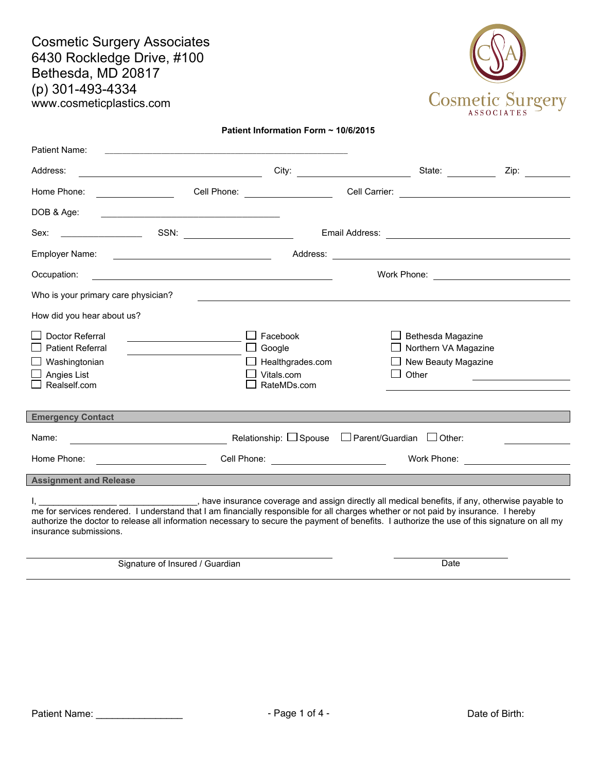Cosmetic Surgery Associates 6430 Rockledge Drive, #100 Bethesda, MD 20817 (p) 301-493-4334 www.cosmeticplastics.com



Patient Information Form ~ 10/6/2015

| Patient Name:                                                                                                                 |                                                                                                                                                                                                                                      |                        |                                                                                                                                          |  |
|-------------------------------------------------------------------------------------------------------------------------------|--------------------------------------------------------------------------------------------------------------------------------------------------------------------------------------------------------------------------------------|------------------------|------------------------------------------------------------------------------------------------------------------------------------------|--|
| Address:                                                                                                                      | <u> 1989 - Johann Barbara, martxa alemaniar a</u>                                                                                                                                                                                    |                        | State:                                                                                                                                   |  |
| Home Phone:                                                                                                                   | Cell Phone:                                                                                                                                                                                                                          | Cell Carrier:          | <u> 1989 - Andrea Station Barbara, amerikan personal (h. 1989).</u>                                                                      |  |
| DOB & Age:                                                                                                                    | <u> 1999 - Johann Harry Harry Harry Harry Harry Harry Harry Harry Harry Harry Harry Harry Harry Harry Harry Harry Harry Harry Harry Harry Harry Harry Harry Harry Harry Harry Harry Harry Harry Harry Harry Harry Harry Harry Ha</u> |                        |                                                                                                                                          |  |
| Sex:                                                                                                                          |                                                                                                                                                                                                                                      |                        |                                                                                                                                          |  |
| Employer Name:                                                                                                                | <u> 1999 - Johann Harry Harry Harry Harry Harry Harry Harry Harry Harry Harry Harry Harry Harry Harry Harry Harry</u>                                                                                                                | Address:               | <u> 1980 - Johann Barbara, martin amerikan basar dan basa dan basar dan basar dalam basa dalam basa dan basa dan</u>                     |  |
| Occupation:                                                                                                                   | <u> 1980 - Andrea Station Barbara, actor a component de la componentación de la componentación de la componentaci</u>                                                                                                                |                        |                                                                                                                                          |  |
| Who is your primary care physician?                                                                                           |                                                                                                                                                                                                                                      |                        | <u> 1989 - Johann Johann Stoff, deutscher Stoffen und der Stoffen und der Stoffen und der Stoffen und der Stoffen</u>                    |  |
| How did you hear about us?                                                                                                    |                                                                                                                                                                                                                                      |                        |                                                                                                                                          |  |
| Doctor Referral<br><b>Patient Referral</b><br>Washingtonian<br>Angies List<br>Realself.com                                    | Facebook<br>Google<br>Vitals.com<br>RateMDs.com                                                                                                                                                                                      | Healthgrades.com       | Bethesda Magazine<br>Northern VA Magazine<br>New Beauty Magazine<br>Other<br><u> 1989 - Andrea Station Books, amerikansk politiker (</u> |  |
| <b>Emergency Contact</b>                                                                                                      | a sa mga bagay na mga bayang sa pag-ang ang pag-ang pag-ang pag-ang pag-ang pag-ang pag-ang pag-ang pag-ang pa                                                                                                                       |                        |                                                                                                                                          |  |
| Name:<br><u> 1989 - Johann Barn, mars ann an t-Amhain Aonaich an t-Aonaich an t-Aonaich ann an t-Aonaich ann an t-Aonaich</u> | Relationship: $\Box$ Spouse                                                                                                                                                                                                          | $\Box$ Parent/Guardian | $\Box$ Other:                                                                                                                            |  |
| Home Phone:<br><u> 1990 - Johann Barbara, martin a</u>                                                                        |                                                                                                                                                                                                                                      |                        | Work Phone: _________________________                                                                                                    |  |
| <b>Assignment and Release</b>                                                                                                 |                                                                                                                                                                                                                                      |                        |                                                                                                                                          |  |
|                                                                                                                               |                                                                                                                                                                                                                                      |                        |                                                                                                                                          |  |

I, \_\_\_\_\_\_\_\_\_\_\_\_\_\_\_\_\_\_\_\_\_\_\_\_\_\_\_\_\_\_\_\_\_\_, have insurance coverage and assign directly all medical benefits, if any, otherwise payable to me for services rendered. I understand that I am financially responsible for all charges whether or not paid by insurance. I hereby authorize the doctor to release all information necessary to secure the payment of benefits. I authorize the use of this signature on all my insurance submissions.

Signature of Insured / Guardian Date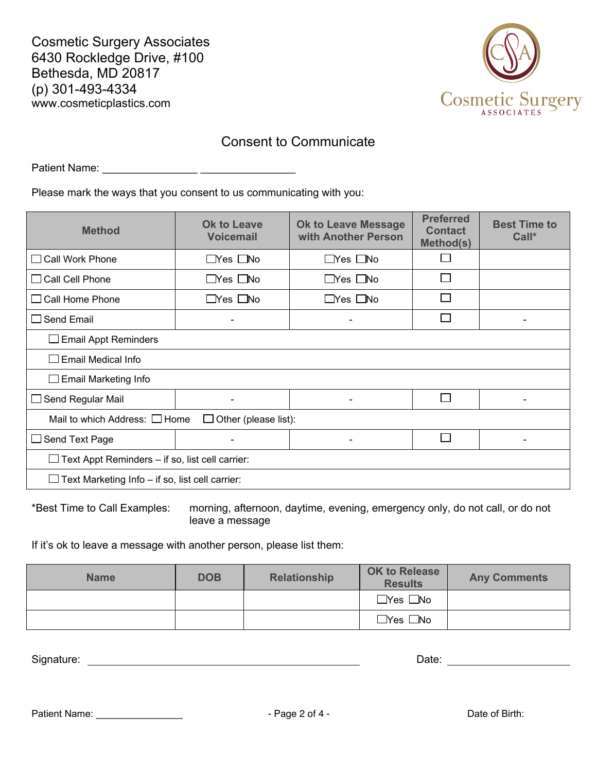Cosmetic Surgery Associates 6430 Rockledge Drive, #100 Bethesda, MD 20817 (p) 301-493-4334 www.cosmeticplastics.com



## Consent to Communicate

Patient Name: \_\_\_\_\_\_\_\_\_\_\_\_\_\_\_\_ \_\_\_\_\_\_\_\_\_\_\_\_\_\_\_\_

Please mark the ways that you consent to us communicating with you:

| <b>Method</b>                                          | <b>Ok to Leave</b><br><b>Voicemail</b> | <b>Ok to Leave Message</b><br>with Another Person | <b>Preferred</b><br><b>Contact</b><br>Method(s) | <b>Best Time to</b><br>$Call^*$ |
|--------------------------------------------------------|----------------------------------------|---------------------------------------------------|-------------------------------------------------|---------------------------------|
| $\Box$ Call Work Phone                                 | $\Box$ Yes $\Box$ No                   | $\Box$ Yes $\Box$ No                              |                                                 |                                 |
| $\Box$ Call Cell Phone                                 | $\Box$ Yes $\Box$ No                   | $\Box$ Yes $\Box$ No                              | П                                               |                                 |
| $\Box$ Call Home Phone                                 | $\sqcup$ Yes $\sqcup$ No               | $\Box$ Yes $\Box$ No                              |                                                 |                                 |
| $\Box$ Send Email                                      |                                        | $\overline{\phantom{0}}$                          |                                                 |                                 |
| <b>Email Appt Reminders</b>                            |                                        |                                                   |                                                 |                                 |
| $\Box$ Email Medical Info                              |                                        |                                                   |                                                 |                                 |
| $\Box$ Email Marketing Info                            |                                        |                                                   |                                                 |                                 |
| $\Box$ Send Regular Mail                               | $\overline{\phantom{a}}$               | $\blacksquare$                                    | $\overline{\phantom{a}}$                        | $\overline{\phantom{0}}$        |
| Mail to which Address: $\Box$ Home                     | Other (please list):                   |                                                   |                                                 |                                 |
| $\Box$ Send Text Page                                  |                                        |                                                   |                                                 |                                 |
| Text Appt Reminders - if so, list cell carrier:        |                                        |                                                   |                                                 |                                 |
| $\Box$ Text Marketing Info – if so, list cell carrier: |                                        |                                                   |                                                 |                                 |

\*Best Time to Call Examples: morning, afternoon, daytime, evening, emergency only, do not call, or do not leave a message

If it's ok to leave a message with another person, please list them:

| <b>Name</b> | <b>DOB</b> | <b>Relationship</b> | <b>OK to Release</b><br><b>Results</b> | <b>Any Comments</b> |
|-------------|------------|---------------------|----------------------------------------|---------------------|
|             |            |                     | $\exists$ Yes $\Box$ No                |                     |
|             |            |                     | $\Box$ Yes $\Box$ No                   |                     |

Signature: <u>New York: 10/6/2015</u> Signature: 10/6/2015 Date: 10/6/2015 Date: 10/6/2015 Date: 10/6/2015 Date: 10/6/2015 Date: 10/6/2015 Date: 10/6/2015 Date: 10/6/2015 Date: 10/6/2015 Date: 10/6/2015 Date: 10/6/2015 Date: 10

Patient Name: \_\_\_\_\_\_\_\_\_\_\_\_\_\_\_\_\_\_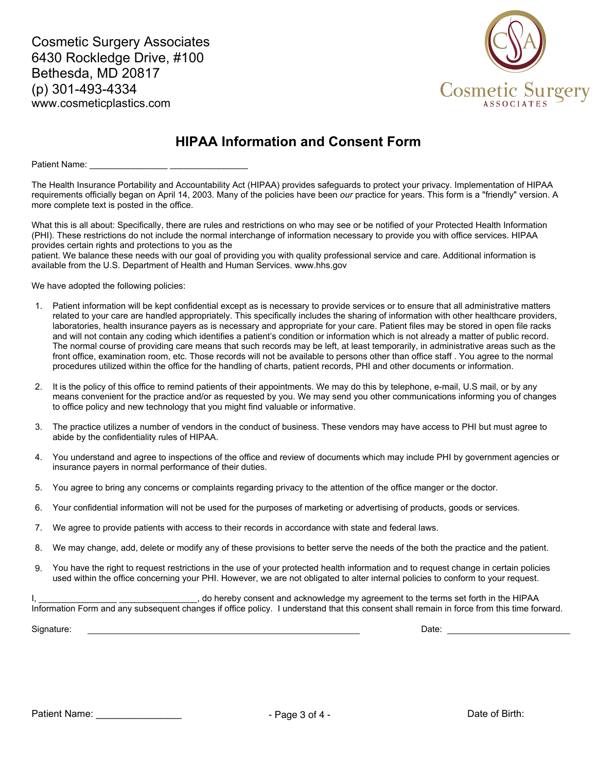Cosmetic Surgery Associates 6430 Rockledge Drive, #100 Bethesda, MD 20817 (p) 301-493-4334 www.cosmeticplastics.com



## HIPAA Information and Consent Form

Patient Name:

The Health Insurance Portability and Accountability Act (HIPAA) provides safeguards to protect your privacy. Implementation of HIPAA requirements officially began on April 14, 2003. Many of the policies have been our practice for years. This form is a "friendly" version. A more complete text is posted in the office.

What this is all about: Specifically, there are rules and restrictions on who may see or be notified of your Protected Health Information (PHI). These restrictions do not include the normal interchange of information necessary to provide you with office services. HIPAA provides certain rights and protections to you as the

patient. We balance these needs with our goal of providing you with quality professional service and care. Additional information is available from the U.S. Department of Health and Human Services. www.hhs.gov

We have adopted the following policies:

- 1. Patient information will be kept confidential except as is necessary to provide services or to ensure that all administrative matters related to your care are handled appropriately. This specifically includes the sharing of information with other healthcare providers, laboratories, health insurance payers as is necessary and appropriate for your care. Patient files may be stored in open file racks and will not contain any coding which identifies a patient's condition or information which is not already a matter of public record. The normal course of providing care means that such records may be left, at least temporarily, in administrative areas such as the front office, examination room, etc. Those records will not be available to persons other than office staff . You agree to the normal procedures utilized within the office for the handling of charts, patient records, PHI and other documents or information.
- 2. It is the policy of this office to remind patients of their appointments. We may do this by telephone, e-mail, U.S mail, or by any means convenient for the practice and/or as requested by you. We may send you other communications informing you of changes to office policy and new technology that you might find valuable or informative.
- 3. The practice utilizes a number of vendors in the conduct of business. These vendors may have access to PHI but must agree to abide by the confidentiality rules of HIPAA.
- 4. You understand and agree to inspections of the office and review of documents which may include PHI by government agencies or insurance payers in normal performance of their duties.
- 5. You agree to bring any concerns or complaints regarding privacy to the attention of the office manger or the doctor.
- 6. Your confidential information will not be used for the purposes of marketing or advertising of products, goods or services.
- 7. We agree to provide patients with access to their records in accordance with state and federal laws.
- 8. We may change, add, delete or modify any of these provisions to better serve the needs of the both the practice and the patient.
- 9. You have the right to request restrictions in the use of your protected health information and to request change in certain policies used within the office concerning your PHI. However, we are not obligated to alter internal policies to conform to your request.

, do hereby consent and acknowledge my agreement to the terms set forth in the HIPAA Information Form and any subsequent changes if office policy. I understand that this consent shall remain in force from this time forward.

Signature: Date: 10/6/2015